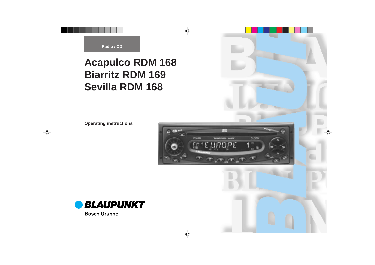**Operating instructions**



**ENGLISH DEUTSCH**

**NEDERLANDS**

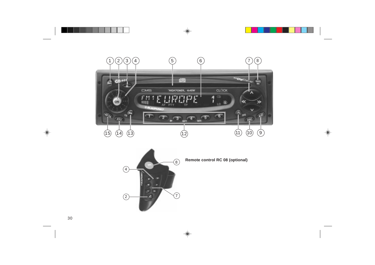



**Remote control RC 08 (optional)**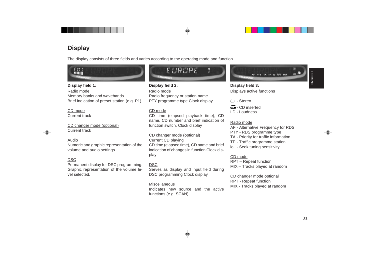



# **Display**<br> **Display consists of three fields and varies according to the operating mode and function.**<br> **Consider the consistent of the Consister of the Consister of the Consister of the Consister of the Balach frequency**



- 
- 
- 
- 
-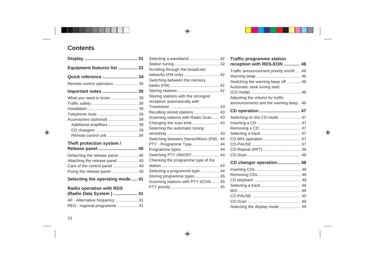# **Contents**

|                                                                                                                                   | Selecting a waveband                                                                                                                                                                    |
|-----------------------------------------------------------------------------------------------------------------------------------|-----------------------------------------------------------------------------------------------------------------------------------------------------------------------------------------|
| Equipment features list  33                                                                                                       | Scrolling through the broadcast                                                                                                                                                         |
| Quick reference  34<br>Remote control operation  38<br>Important notes  39<br>What you need to know  39                           | networks (FM only)<br>Switching between the memory<br>Storing stations with the strongest<br>reception automatically with                                                               |
| Accessories (optional)  39<br>Additional amplifiers  39<br>Remote control unit  39<br>Theft protection system /                   | Recalling stored stations<br>Scanning stations with Radio Scan<br>Changing the scan time<br>Selecting the automatic tuning<br>Switching between Stereo/Mono (FM<br>PTY - Programme Type |
| Release panel  40                                                                                                                 | Programme types                                                                                                                                                                         |
| Detaching the release panel 40<br>Attaching the release panel 40<br>Care of the control panel  40<br>Fixing the release panel  40 | Switching PTY ON/OFF<br>Checking the programme type of the<br>Selecting a programme type                                                                                                |
| Selecting the operating mode  41                                                                                                  | Storing programme types<br>Scanning stations with PTY SCAN                                                                                                                              |
| <b>Radio operation with RDS</b><br>(Radio Data System )  41<br>AF - Alternative frequency  41                                     |                                                                                                                                                                                         |

| <b>Radio operation with RDS</b> |  |  |  |  |
|---------------------------------|--|--|--|--|
| (Radio Data System)  41         |  |  |  |  |
| AF - Alternative frequency  41  |  |  |  |  |
| REG - regional programme  41    |  |  |  |  |

| 31       | Selecting a waveband  42                                       |  |
|----------|----------------------------------------------------------------|--|
| 33       |                                                                |  |
|          | Scrolling through the broadcast<br>networks (FM only)  42      |  |
| 34       | Switching between the memory                                   |  |
| 38       |                                                                |  |
| 39       |                                                                |  |
| 39       | Storing stations with the strongest                            |  |
| 39       | reception automatically with                                   |  |
| 39       | Recalling stored stations  43                                  |  |
| 39       | Scanning stations with Radio Scan  43                          |  |
| 39<br>39 |                                                                |  |
| 39       | Selecting the automatic tuning                                 |  |
| 39       |                                                                |  |
|          | Switching between Stereo/Mono (FM). 44                         |  |
| 40       | PTY - Programme Type 44                                        |  |
|          | Programme types  44                                            |  |
| 40<br>40 | Switching PTY ON/OFF  44<br>Checking the programme type of the |  |
| . 40     |                                                                |  |
| . 40     | Selecting a programme type  44                                 |  |
|          | Storing programme types  45                                    |  |
| le  41   | Scanning stations with PTY SCAN  45                            |  |
|          |                                                                |  |
|          |                                                                |  |

| <b>Traffic programme station</b>         |
|------------------------------------------|
| reception with RDS-EON  46               |
| Traffic announcement priority on/off  46 |
|                                          |
| Switching the warning beep off  46       |
| Automatic seek tuning start              |
|                                          |
| Adjusting the volume for traffic         |
| announcements and the warning beep 46    |
| CD operation 47                          |
| Switching on the CD mode  47             |
|                                          |
|                                          |
|                                          |
| CD-MIX operation  47                     |
|                                          |
| CD-Repeat (RPT)  48                      |
|                                          |
| CD changer operation 48                  |
|                                          |
|                                          |
|                                          |
|                                          |
|                                          |
|                                          |
|                                          |
| Selecting the display mode  49           |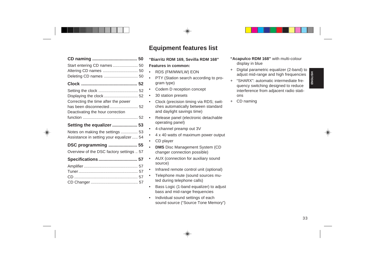| Start entering CD names  50              |  |
|------------------------------------------|--|
| Altering CD names  50                    |  |
| Deleting CD names  50                    |  |
|                                          |  |
|                                          |  |
|                                          |  |
| Correcting the time after the power      |  |
| has been disconnected 52                 |  |
| Deactivating the hour correction         |  |
|                                          |  |
|                                          |  |
| Setting the equalizer  53                |  |
| Notes on making the settings  53         |  |
| Assistance in setting your equalizer 54  |  |
| DSC programming  55                      |  |
| Overview of the DSC factory settings  57 |  |
| Specifications  57                       |  |
|                                          |  |
|                                          |  |
|                                          |  |

- 
- 
- 
- 
- 
- 
- 
- 
- 
- • **DMS** Disc Management System (CD changer connection possible)
- AUX (connection for auxiliary sound source)
- •Infrared remote control unit (optional)
- • Telephone mute (sound sources muted during telephone calls)
- • Bass Logic (1-band equalizer) to adjust bass and mid-range frequencies
- • Individual sound settings of each sound source ("Source Tone Memory")
- **"Acapulco RDM 168"** with multi-colour display in blue
- + Digital parametric equalizer (2-band) to adjust mid-range and high frequencies
- **Equipment features list**<br>
"Biarritz RDM 168, Sevilla RDM 168"<br>
"Acapudo RDM 168" with multi-colour<br>
Features in common:<br>  $\begin{array}{rcl}\n\bullet\text{ TDS (FMMW/LW) EON} & & & & & \\
\bullet\text{ TDS (FMMW/LW) EON} & & & & & \\
\bullet\text{ FDS (FMMW/LW) EON} & & & & & \\
\bullet\text{ FDS (FMMW/LW) EON} & & &$ + "SHARX": automatic intermediate frequency switching designed to reduce interference from adjacent radio stations
	- + CD naming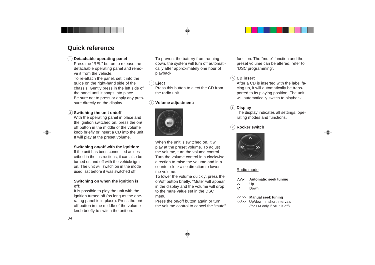# **Quick reference**

## 1 **Detachable operating panel**

Press the "REL" button to release thedetachable operating panel and remove it from the vehicle.

To re-attach the panel, set it into the guide on the right-hand side of the chassis. Gently press in the left side of the panel until it snaps into place. Be sure not to press or apply any pressure directly on the display.

# 2 **Switching the unit on/off**

With the operating panel in place and the ignition switched on, press the on/ off button in the middle of the volumeknob briefly or insert a CD into the unit. It will play at the preset volume.

### **Switching on/off with the ignition:**

If the unit has been connected as described in the instructions, it can also be turned on and off with the vehicle ignition. The unit will switch on in the modeused last before it was switched off.

### **Switching on when the ignition is off:**

It is possible to play the unit with the ignition turned off (as long as the operating panel is in place): Press the on/ off button in the middle of the volumeknob briefly to switch the unit on.

To prevent the battery from running down, the system will turn off automatically after approximately one hour of playback.

### 3 **Eject**

Press this button to eject the CD from the radio unit.

# 4 **Volume adjustment:**



When the unit is switched on, it will play at the preset volume. To adjust the volume, turn the volume control. Turn the volume control in a clockwisedirection to raise the volume and in acounter-clockwise direction to lowerthe volume.

To lower the volume quickly, press the on/off button briefly. "Mute" will appear in the display and the volume will drop to the mute value set in the DSCmenu.

Press the on/off button again or turn the volume control to cancel the "mute" function. The "mute" function and thepreset volume can be altered, refer to "DSC programming".

# 5 **CD insert**

After a CD is inserted with the label facing up, it will automatically be transported to its playing position. The unit will automatically switch to playback.

# 6 **Display**

The display indicates all settings, operating modes and functions.

# **Rocker switch**



# Radio mode

- $\wedge/\vee$ **Automatic seek tuning**
- Up Λ
- $\vee$ Down

### $<<$  >> **Manual seek tuning**

<</>> Up/down in short intervals (for FM only if "AF" is off)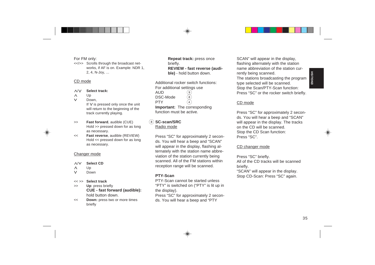- 
- 
- 

- 
- 

- 
- 
- 
- 
- 
- 

For Monty:<br>
For Monte Colombia and the state of the state of the state of the state of the state of the state of the state of the state of the state of the state of the state of the state of the state of the state of the s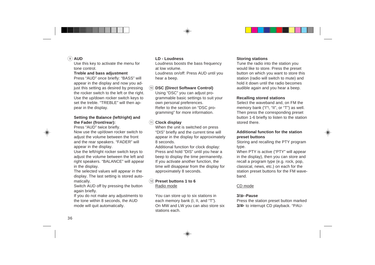# 9 **AUD**

Use this key to activate the menu for tone control.

### **Treble and bass adjustment**

Press "AUD" once briefly: "BASS" will appear in the display and now you adjust this setting as desired by pressing the rocker switch to the left or the right. Use the up/down rocker switch keys to set the treble. "TREBLE" will then appear in the display.

### **Setting the Balance (left/right) and the Fader (front/rear):**

Press "AUD" twice briefly.

Now use the up/down rocker switch to adiust the volume between the front and the rear speakers. "FADER" will appear in the display.

Use the left/right rocker switch keys to adiust the volume between the left and right speakers. "BALANCE" will appear in the display.

The selected values will appear in the display. The last setting is stored automatically.

Switch AUD off by pressing the button again briefly.

If you do not make any adjustments to the tone within 8 seconds, the AUD mode will quit automatically.

### **LD - Loudness**

Loudness boosts the bass frequency at low volume.

Loudness on/off: Press AUD until you hear a beep.

# : **DSC (Direct Software Control)**

Using "DSC" you can adjust programmable basic settings to suit your own personal preferences. Refer to the section on "DSC programming" for more information.

# ; **Clock display**

When the unit is switched on press "DIS" briefly and the current time will appear in the display for approximately 8 seconds.

Additional function for clock display: Press and hold "DIS" until you hear a beep to display the time permanently. If you activate another function, the time will disappear from the display for approximately 8 seconds.

### < **Preset buttons 1 to 6** Radio mode

You can store up to six stations in each memory bank (I, II, and "T"). On MW and LW you can also store six stations each.

## **Storing stations**

Tune the radio into the station you would like to store. Press the preset button on which you want to store this station (radio will switch to mute) and hold it down until the radio becomesaudible again and you hear a beep.

### **Recalling stored stations**

Select the waveband and, on FM the memory bank ("I"!, "II", or "T") as well. Then press the corresponding preset button 1-6 briefly to listen to the station stored there.

### **Additional function for the stationpreset buttons**

Storing and recalling the PTY program type.

When PTY is active ("PTY" will appear in the display), then you can store and recall a program type (e.g. rock, pop, classical, news, etc.) on each for the station preset buttons for the FM waveband.

# CD mode

## **3/ -Pause**

Press the station preset button marked **3/ID** to interrupt CD playback. "PAU-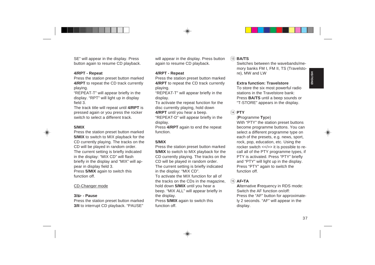SE will appear in the display. Press two will proper in the display Press with the display of the track to the track to the track to the station pressure to the method over Station and the press the station pressure to the

# = **BA/TS**

Switches between the wavebands/memory banks FM I, FM II, TS (Travelstore), MW and LW

### **Extra function: Travelstore**

To store the six most powerful radio stations in the Travelstore bank:Press **BA/TS** until a beep sounds or "T-STORE" appears in the display.

# > **PTY**

### (**P**rogramme **Ty**pe)

With "PTY" the station preset buttons become programme buttons. You can select a different programme type on each of the presets, e.g. news, sport, rock, pop, education, etc. Using the rocker switch <</></>>>> it is possible to recall all of the PTY programme types, if PTY is activated. Press "PTY" briefly and "PTY" will light up in the display. Press "PTY" again to switch the function off.

# $(15)$  **AF**<sup> $\bullet$ </sup>TA

**A**lternative **F**requency in RDS mode: Switch the AF function on/off:Press the "AF" button for approximately 2 seconds. "AF" will appear in the display.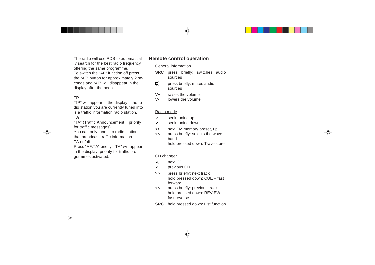The radio will use RDS to automatically search for the best radio frequency offering the same programme. To switch the "AF" function off press the "AF" button for approximately 2 seconds and "AF" will disappear in the display after the beep.

## **TP**

"TP" will appear in the display if the radio station you are currently tuned into is a traffic information radio station.**TA**

"TA" (**T**raffic **A**nnouncement = priority for traffic messages)

You can only tune into radio stations that broadcast traffic information.TA on/off:

Press "AF.TA" briefly: "TA" will appear in the display, priority for traffic pro-

grammes activated.

# **Remote control operation**

### General information

- **SRC** press briefly: switches audio sources
- ø press briefly: mutes audio sources
- **V+**raises the volume
- **V**lowers the volume

### Radio mode

- seek tuning up  $\wedge$
- $\vee$ seek tuning down
- $\rightarrow$ next FM memory preset, up
- $<<$  press briefly: selects the wavebandhold pressed down: Travelstore

### CD changer

- $\Lambda$ next CD
- $\vee$ previous CD
- $\gt$  press briefly: next track hold pressed down: CUE – fast forward
- $<<$  press briefly: previous track hold pressed down: REVIEW – fast reverse
- **SRC** hold pressed down: List function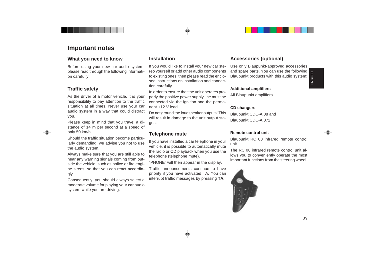**Important notes**<br> **Electron any** parameter and particular the consistence in the proposition of the consistence in the proposition of the charge of particular phase area different units and particular phase area different

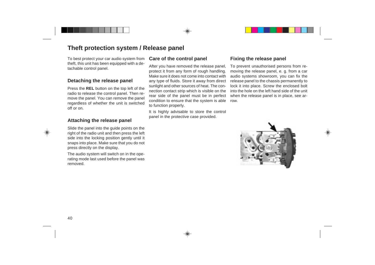# **Theft protection system / Release panel**

To best protect your car audio system from theft, this unit has been equipped with a detachable control panel.

# **Detaching the release panel**

Press the **REL** button on the top left of the radio to release the control panel. Then remove the panel. You can remove the panel regardless of whether the unit is switched off or on.

# **Attaching the release panel**

Slide the panel into the guide points on the right of the radio unit and then press the left side into the locking position gently until it snaps into place. Make sure that you do not press directly on the display.

The audio system will switch on in the operating mode last used before the panel was removed.

# **Care of the control panel**

After you have removed the release panel, protect it from any form of rough handling. Make sure it does not come into contact withany type of fluids. Store it away from direct sunlight and other sources of heat. The connection contact strip which is visible on the rear side of the panel must be in perfect condition to ensure that the system is able to function properly.

It is highly advisable to store the control panel in the protective case provided.

# **Fixing the release panel**

To prevent unauthorised persons from removing the release panel, e. g. from a car audio systems showroom, you can fix the release panel to the chassis permanently to lock it into place. Screw the enclosed bolt into the hole on the left hand side of the unitwhen the release panel is in place, see arrow.

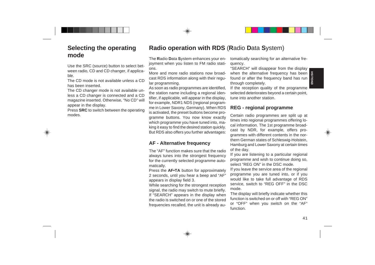**R**adio **D**ata **S**ystem enhances your enjoyment when you listen to FM radio stations.

More and more radio stations now broadcast RDS information along with their regular programming.

Selecting the operating Radio operation with RDS (Radio Data System)<br>
The Radio Data System enhances your environment and the proposition of the results are select with the Radio Data System environment of the control of t As soon as radio programmes are identified, the station name including a regional identifier, if applicable, will appear in the display, for example, NDR1 NDS (regional programme in Lower Saxony, Germany). When RDS is activated, the preset buttons become programme buttons. You now know exactly which programme you have tuned into, making it easy to find the desired station quickly. But RDS also offers you further advantages:

# **AF - Alternative frequency**

The "AF" function makes sure that the radioalways tunes into the strongest frequency for the currently selected programme automatically.

Press the **AF•TA** button for approximately 2 seconds, until you hear a beep and "AF" appears in display field 3.

While searching for the strongest reception signal, the radio may switch to mute briefly. If "SEARCH" appears in the display when the radio is switched on or one of the storedfrequencies recalled, the unit is already au-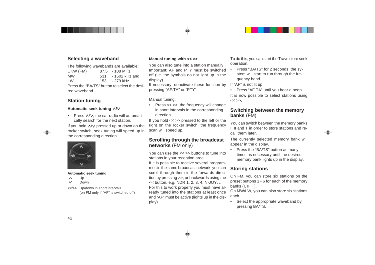# **Selecting a waveband**

The following wavebands are available:

| UKW (FM)  |     | $87.5 - 108$ MHz. |
|-----------|-----|-------------------|
| <b>MW</b> | 531 | - 1602 kHz and    |
| LW        |     | 153 - 279 kHz     |

Press the "BA/TS" button to select the desired waveband.

# **Station tuning**

### **Automatic seek tuning /**

•Press  $\wedge$ / $\vee$ : the car radio will automatically search for the next station.

If you hold  $\land$ / $\lor$  pressed up or down on the rocker switch, seek tuning will speed up in the corresponding direction.



### **Automatic seek tuning**

- Up Λ
- Down $\vee$
- <</>> Up/down in short intervals (on FM only if "AF" is switched off)

# **Manual tuning with << >>**

You can also tune into a station manually. Important: AF and PTY must be switched off (i.e. the symbols do not light up in the display).

If necessary, deactivate these function by pressing "AF.TA" or "PTY".

Manual tuning:

• Press << >>; the frequency will change in short intervals in the corresponding direction.

If you hold << >> pressed to the left or the right on the rocker switch, the frequency scan will speed up.

# **Scrolling through the broadcast networks** (FM only)

You can use the << >> buttons to tune intostations in your reception area.

If it is possible to receive several programmes in the same broadcast network, you can scroll through them in the forwards direction by pressing >>, or backwards using the  $<<$  button, e.g. NDR 1, 2, 3, 4, N-JOY, ... For this to work properly you must have already tuned into the stations at least once and "AF" must be active (lights up in the display).

To do this, you can start the Travelstore seek operation:

• Press "BA/TS" for 2 seconds; the system will start to run through the frequency band.

If "AF" is not lit up,

• Press "AF.TA" until you hear a beep. It is now possible to select stations using  $<<$  >>

# **Switching between the memory banks** (FM)

You can switch between the memory banks I, II and T in order to store stations and recall them later.

The currently selected memory bank will appear in the display.

• Press the "BA/TS" button as many times as necessary until the desired memory bank lights up in the display.

# **Storing stations**

On FM, you can store six stations on the preset buttons 1 - 6 for each of the memory banks (I, II, T).

On MW/LW, you can also store six stations each.

• Select the appropriate waveband by pressing BA/TS.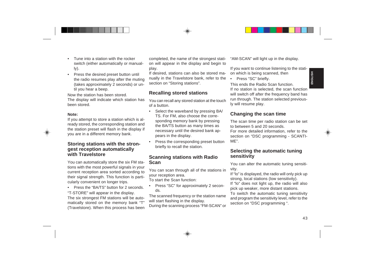- 
- 

• Press the "BA/TS" button for 2 seconds. "T-STORE" will appear in the display. The six strongest FM stations will be automatically stored on the memory bank "T" (Travelstore). When this process has been completed, the name of the strongest station will appear in the display and begin to play.

If desired, stations can also be stored manually in the Travelstore bank, refer to the section on "Storing stations".

# **Recalling stored stations**

You can recall any stored station at the touch of a button.

- Funcino asside with the rocker<br>
Note and the completed, the name of the strongest stait "AM-SCAN" will light up in the display.<br>
We are the state of the multiply than the display<br>
These the districted to the state<br>
The st • Select the waveband by pressing BA/ TS. For FM, also choose the corresponding memory bank by pressing the BA/TS button as many times as necessary until the desired bank appears in the display.
	- • Press the corresponding preset button briefly to recall the station.

# **Scanning stations with Radio Scan**

You can scan through all of the stations in your reception area.

To start the Scan function:

• Press "SC" for approximately 2 seconds.

The scanned frequency or the station name will start flashing in the display.

During the scanning process "FM-SCAN" or

"AM-SCAN" will light up in the display.

If you want to continue listening to the station which is being scanned, then

•Press "SC" briefly.

This ends the Radio Scan function.If no station is selected, the scan function will switch off after the frequency band has run through. The station selected previously will resume play.

# **Changing the scan time**

The scan time per radio station can be set to between 5 and 20 seconds.

For more detailed information, refer to the section on "DSC programming - SCANTI-ME".

# **Selecting the automatic tuning sensitivity**

You can alter the automatic tuning sensitivity.

If "lo" is displayed, the radio will only pick up strong, local stations (low sensitivity).

If "lo" does not light up, the radio will also pick up weaker, more distant stations.

To switch the automatic tuning sensitivity and program the sensitivity level, refer to the section on "DSC programming ".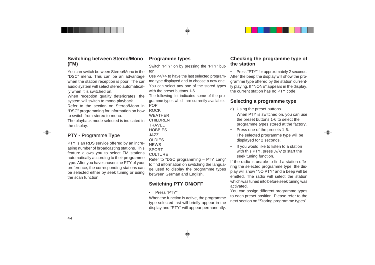# **Switching between Stereo/Mono (FM)**

You can switch between Stereo/Mono in the"DSC" menu. This can be an advantage when the station reception is poor. The car audio system will select stereo automatically when it is switched on.

When reception quality deteriorates, the system will switch to mono playback.

Refer to the section on Stereo/Mono in"DSC" programming for information on how to switch from stereo to mono.

The playback mode selected is indicated in the display.

# **PTY - P**rogramme **Ty**pe

PTY is an RDS service offered by an increasing number of broadcasting stations. This feature allows you to select FM stations automatically according to their programme type. After you have chosen the PTY of your preference, the corresponding stations can be selected either by seek tuning or using the scan function.

# **Programme types**

Switch "PTY" on by pressing the "PTY" button.

Use <</>> to have the last selected programme type displayed and to choose a new one. You can select any one of the stored types with the preset buttons 1-6.

The following list indicates some of the programme types which are currently available. POP

ROCKWEATHERCHILDRENTRAVEL**HOBBIES** JAZZOLDIES**NEWS** SPORTCULTURE

Refer to "DSC programming – PTY Lang" to find information on switching the language used to display the programme types between German and English.

# **Switching PTY ON/OFF**

• Press "PTY".

When the function is active, the programme type selected last will briefly appear in the display and "PTY" will appear permanently.

# **Checking the programme type of the station**

• Press "PTY" for approximately 2 seconds. After the beep the display will show the programme type offered by the station currently playing. If "NONE" appears in the display, the current station has no PTY code.

# **Selecting a programme type**

- a) Using the preset buttons When PTY is switched on, you can use the preset buttons 1-6 to select the programme types stored at the factory.
- • Press one of the presets 1-6. The selected programme type will be displayed for 2 seconds.
- • If you would like to listen to a station with this PTY, press  $\land$  to start the seek tuning function.

If the radio is unable to find a station offering the selected programme type, the display will show "NO PTY" and a beep will be emitted. The radio will select the stationwhich was tuned into before seek tuning was activated.

You can assign different programme types to each preset position. Please refer to the next section on "Storing programme types".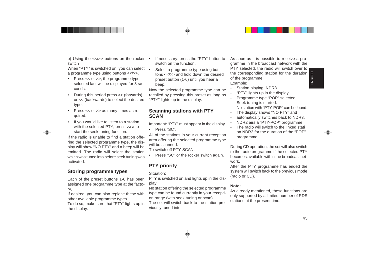- 
- 
- 
- 

b) Using the  $\epsilon$ - $\epsilon$ - $\epsilon$ -buttons on the rocker  $\epsilon$  + Minden the solution. We solve the solution is with the three three in the broadcast network with the present of the solid a programme by example the selected is and

- 
- 

- 
- 
- 
- 
- 
- 
- 
- 
-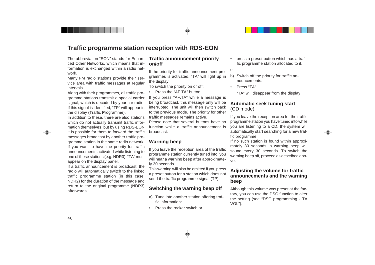# **Traffic programme station reception with RDS-EON**

The abbreviation "EON" stands for Enhanced Other Networks, which means that information is exchanged within a radio network.

Many FM radio stations provide their service area with traffic messages at regular intervals.

Along with their programmes, all traffic programme stations transmit a special carrier signal, which is decoded by your car radio. If this signal is identified, "TP" will appear in the display ( **T**raffic **P**rogramme).

In addition to these, there are also stations which do not actually transmit traffic information themselves, but by using RDS-EON it is possible for them to forward the traffic messages broadcast by another traffic programme station in the same radio network. If you want to have the priority for traffic announcements activated while listening to one of these stations (e.g. NDR3), "TA" must appear on the display panel.

If a traffic announcement is broadcast, the radio will automatically switch to the linked traffic programme station (in this case, NDR2) for the duration of the message and return to the original programme (NDR3) afterwards.

# **Traffic announcement priority on/off**

If the priority for traffic announcement programmes is activated, "TA" will light up in the display.

To switch the priority on or off:

•Press the "AF.TA" button.

If you press "AF.TA" while a message is being broadcast, this message only will be interrupted. The unit will then switch back to the previous mode. The priority for other traffic messages remains active.

Please note that several buttons have nofunction while a traffic announcement isbroadcast.

# **Warning beep**

If you leave the reception area of the traffic programme station currently tuned into, you will hear a warning beep after approximately 30 seconds.

This warning will also be emitted if you press a preset button for a station which does not send the traffic programme signal (TP).

# **Switching the warning beep off**

- a) Tune into another station offering traffic information:
- •Press the rocker switch or

• press a preset button which has a traffic programme station allocated to it.

### or

- b) Switch off the priority for traffic announcements:
- •Press "TA".

"TA" will disappear from the display.

# **Automatic seek tuning start** (CD mode)

If you leave the reception area for the traffic programme station you have tuned into while you are listening to a CD, the system will automatically start searching for a new traffic programme.

If no such station is found within approximately 30 seconds, a warning beep will sound every 30 seconds. To switch the warning beep off, proceed as described above.

# **Adjusting the volume for traffic announcements and the warning beep**

Although this volume was preset at the factory, you can use the DSC function to alter the setting (see "DSC programming - TA VOL").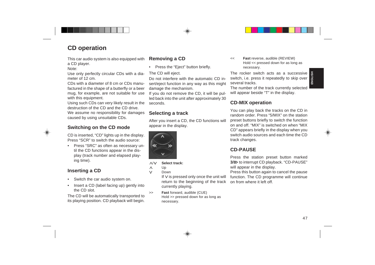- 
- 



### $\wedge/\vee$ **Select track:**

Up

Down

If  $V$  is pressed only once the unit will return to the beginning of the track currently playing.

 $\gt$  **Fast** forward, audible (CUE) Hold >> pressed down for as long as necessary.

 $<<$  **Fast** reverse, audible (REVIEW) Hold << pressed down for as long as necessary.

The rocker switch acts as a successive switch, i.e. press it repeatedly to skip over several tracks.

The number of the track currently selected will appear beside "T" in the display.

# **CD-MIX operation**

**CD operation**<br>
This car and/o system is also equipped with **Removing a CD**<br>
Notice pressed down for an length of the columb system is also equipped with **a** dia- The CD will elget.<br>
Notice the receiver switch acts as a s You can play back the tracks on the CD in random order. Press "5/MIX" on the stationpreset buttons briefly to switch the function on and off. "MIX" is switched on when "MIXCD" appears briefly in the display when you switch audio sources and each time the CDtrack changes.

# **CD-PAUSE**

Press the station preset button marked 3/<sup>ID</sup> to interrupt CD playback. "CD-PAUSE" will appear in the display.

Press this button again to cancel the pause function. The CD programme will continue on from where it left off.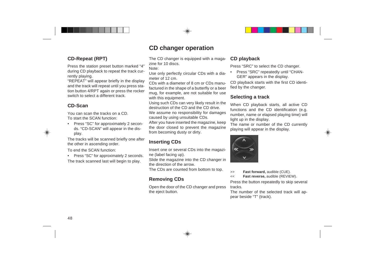# **CD-Repeat (RPT)**

Press the station preset button marked "4" during CD playback to repeat the track currently playing.

"REPEAT" will appear briefly in the display and the track will repeat until you press station button 4/RPT again or press the rocker switch to select a different track.

# **CD-Scan**

You can scan the tracks on a CD.To start the SCAN function:

• Press "SC" for approximately 2 seconds. "CD-SCAN" will appear in the display.

The tracks will be scanned briefly one after the other in ascending order.

To end the SCAN function:

• Press "SC" for approximately 2 seconds. The track scanned last will begin to play.

# **CD changer operation**

The CD changer is equipped with a magazine for 10 discs.

Note:

Use only perfectly circular CDs with a diameter of 12 cm.

CDs with a diameter of 8 cm or CDs manufactured in the shape of a butterfly or a beer mug, for example, are not suitable for use with this equipment.

Using such CDs can very likely result in the destruction of the CD and the CD drive.We assume no responsibility for damages

caused by using unsuitable CDs.

After you have inserted the magazine, keep the door closed to prevent the magazine from becoming dusty or dirty.

# **Inserting CDs**

Insert one or several CDs into the magazine (label facing up).

Slide the magazine into the CD changer in the direction of the arrow.

The CDs are counted from bottom to top.

# **Removing CDs**

Open the door of the CD changer and press the eject button.

# **CD playback**

Press "SRC" to select the CD changer.

• Press "SRC" repeatedly until "CHAN-GER" appears in the display.

CD playback starts with the first CD identified by the changer.

# **Selecting a track**

When CD playback starts, all active CD functions and the CD identification (e.g. number, name or elapsed playing time) will light up in the display.

The name or number of the CD currently playing will appear in the display.



>>**Fast forward,** audible (CUE).

 $<<$ **Fast reverse,** audible (REVIEW).

Press the button repeatedly to skip several tracks.

The number of the selected track will appear beside "T" (track).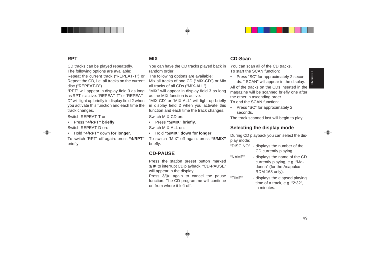RPT tracks can be played repeatedly.<br>
The tellowing options are available: The contracts are available: The contracts are available: The state in the SD tracks of Repart the CD tracks of Repart in the SD of MIX-CD') or Mix

- 
- 

- 
- 

- -
- 
-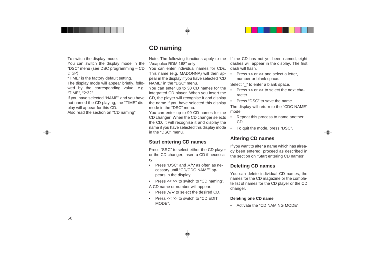# **CD naming**

To switch the display mode:

You can switch the display mode in the "DSC" menu (see DSC programming – CD DISP).

"TIME" is the factory default setting.

The display mode will appear briefly, followed by the corresponding value, e.g. "TIME", "2:32".

If you have selected "NAME" and you have not named the CD playing, the "TIME" display will appear for this CD.

Also read the section on "CD naming".

Note: The following functions apply to the "Acapulco RDM 168" only.

You can enter individual names for CDs.This name (e.g. MADONNA) will then appear in the display if you have selected "CD NAME" in the "DSC" menu.

You can enter up to 30 CD names for the integrated CD player. When you insert the CD, the player will recognise it and display the name if you have selected this display mode in the "DSC" menu.

You can enter up to 99 CD names for the CD changer. When the CD changer selects the CD, it will recognise it and display the name if you have selected this display mode in the "DSC" menu.

# **Start entering CD names**

Press "SRC" to select either the CD player or the CD changer, insert a CD if necessary.

- •Press "DSC" and  $\land$  / as often as necessary until "CD/CDC NAME" appears in the display.
- Press << >> to switch to "CD naming".

A CD name or number will appear.

- •Press  $\wedge$  /  $\vee$  to select the desired CD.
- •Press << >> to switch to "CD EDIT MODE".

If the CD has not yet been named, eight dashes will appear in the display. The first dash will flash.

• Press << or >> and select a letter, number or blank space.

Select " " to enter a blank space.

- • Press << or >> to select the next character.
- • Press "DSC" to save the name. The display will return to the "CDC NAME" mode.
- • Repeat this process to name another CD.
- •To quit the mode, press "DSC".

# **Altering CD names**

If you want to alter a name which has already been entered, proceed as described in the section on "Start entering CD names".

# **Deleting CD names**

You can delete individual CD names, the names for the CD magazine or the complete list of names for the CD player or the CD changer.

## **Deleting one CD name**

•Activate the "CD NAMING MODE".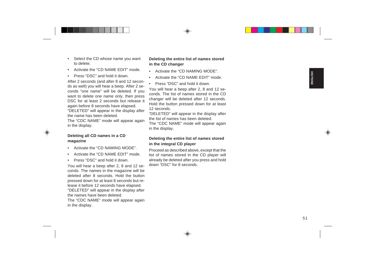- 
- 
- 

- 
- 
- 

Select the CD whose name you want<br>
in the CD changer<br>
to delete.<br>
A crivate the CD changer<br>
A crivate the CD changer<br>
A crivate the CD changer<br>
A five CB C NAMINE EOIT" mode.<br>
A five 2 seconds for address and 12 seconds a

- 
- 
-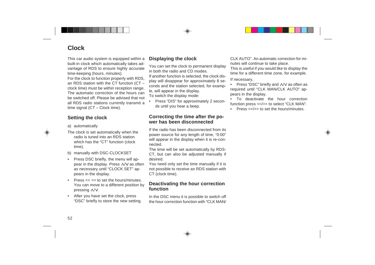# **Clock**

This car audio system is equipped within a built-in clock which automatically takes advantage of RDS to ensure highly accurate time-keeping (hours, minutes).

For the clock to function properly with RDS, an RDS station with the CT function (CT – clock time) must be within reception range. The automatic correction of the hours canbe switched off. Please be advised that notall RDS radio stations currently transmit a time signal (CT – Clock time).

# **Setting the clock**

- a) automatically
- The clock is set automatically when the radio is tuned into an RDS stationwhich has the "CT" function (clock time).
- b) manually with DSC-CLOCKSET
- • Press DSC briefly, the menu will appear in the display. Press  $\land$  / $\lor$  as often as necessary until "CLOCK SET" appears in the display.
- •Press  $<<$  >> to set the hours/minutes. You can move to a different position by pressing  $\land$ / $\lor$ .
- • After you have set the clock, press "DSC" briefly to store the new setting.

# **Displaying the clock**

You can set the clock to permanent display in both the radio and CD modes.If another function is selected, the clock display will disappear for approximately 8 seconds and the station selected, for example, will appear in the display. To switch the display mode:

• Press "DIS" for approximately 2 seconds until you hear a beep.

# **Correcting the time after the power has been disconnected**

If the radio has been disconnected from itspower source for any length of time, "0:00" will appear in the display when it is re-connected.

The time will be set automatically by RDS-CT, but can also be adjusted manually if desired.

You need only set the time manually if it is not possible to receive an RDS station with CT (clock time).

# **Deactivating the hour correction function**

In the DSC menu it is possible to switch off the hour correction function with "CLK MAN/ CLK AUTO". An automatic correction for minutes will continue to take place.

This is useful if you would like to display the time for a different time zone, for example.

### If necessary,

•Press "DSC" briefly and  $\land$  /  $\lor$  as often as required until "CLK MAN/CLK AUTO" appears in the display.

• To deactivate the hour correctionfunction press <</>> <</><</>>to select "CLK MAN".

•Press << />>>> to set the hours/minutes.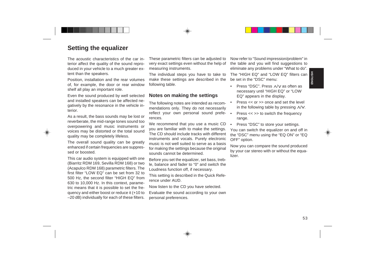**Setting the equalizer**<br>
The acoustic characteristics the car in-<br>Their carositic characteristics at the car in-<br>Their carositic characteristics at the car in-<br>terior affect of equality of the sound epro-<br>very exact settin

- 
- 
- 
-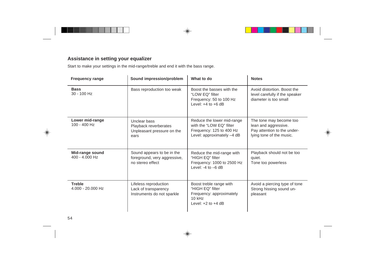# **Assistance in setting your equalizer**

Start to make your settings in the mid-range/treble and end it with the bass range.

| <b>Frequency range</b>             | Sound impression/problem                                                       | What to do                                                                                                       | <b>Notes</b>                                                                                               |
|------------------------------------|--------------------------------------------------------------------------------|------------------------------------------------------------------------------------------------------------------|------------------------------------------------------------------------------------------------------------|
| <b>Bass</b><br>30 - 100 Hz         | Bass reproduction too weak                                                     | Boost the basses with the<br>"LOW EQ" filter<br>Frequency: 50 to 100 Hz<br>Level: $+4$ to $+6$ dB                | Avoid distortion. Boost the<br>level carefully if the speaker<br>diameter is too small                     |
| Lower mid-range<br>100 - 400 Hz    | Unclear bass<br>Playback reverberates<br>Unpleasant pressure on the<br>ears    | Reduce the lower mid-range<br>with the "LOW EQ" filter<br>Frequency: 125 to 400 Hz<br>Level: approximately -4 dB | The tone may become too<br>lean and aggressive.<br>Pay attention to the under-<br>lying tone of the music. |
| Mid-range sound<br>400 - 4.000 Hz  | Sound appears to be in the<br>foreground, very aggressive,<br>no stereo effect | Reduce the mid-range with<br>"HIGH EQ" filter<br>Frequency: 1000 to 2500 Hz<br>Level: $-4$ to $-6$ dB            | Playback should not be too<br>quiet.<br>Tone too powerless                                                 |
| <b>Treble</b><br>4.000 - 20.000 Hz | Lifeless reproduction<br>Lack of transparency<br>Instruments do not sparkle    | Boost treble range with<br>"HIGH EQ" filter<br>Frequency: approximately<br>$10$ kHz<br>Level: $+2$ to $+4$ dB    | Avoid a piercing type of tone<br>Strong hissing sound un-<br>pleasant                                      |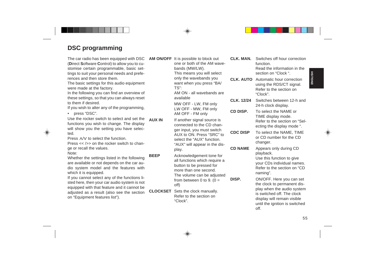(**D**irect **S**oftware **C**ontrol) to allow you to customise certain programmable, basic settings to suit your personal needs and preferences and then store them.

The basic settings for this audio equipment were made at the factory.

In the following you can find an overview of these settings, so that you can always reset to them if desired.

If you wish to alter any of the programming,

• press "DSC".

Use the rocker switch to select and set thefunctions you wish to change. The display will show you the setting you have selected.**AUX IN**

Press  $\land$ / $\lor$  to select the function.

Press  $<<$  />> on the rocker switch to change or recall the values.

Note:

Whether the settings listed in the following are available or not depends on the car audio system model and the features with which it is equipped.

If you cannot select any of the functions listed here, then your car audio system is not equipped with that feature and it cannot be adjusted as a result (also see the section on "Equipment features list").

**PORTUGUES PRESSIGN CONTINUES AN ONOFF** It is possible to block out **CLK. MAN.** Switches of flour correction folicinar and the assent of the car radio has been equipped with DSC AM ONOFF lis means you will select<br>the car r **AM ON/OFF** It is possible to block out one or both of the AM wavebands (MW/LW). This means you will select only the wavebands you want when you press "BA/ TS":AM ON - all wavebands areavailableMW OFF - LW, FM only LW OFF - MW, FM only AM OFF - FM only If another signal source is connected to the CD changer input, you must switch AUX to ON. Press "SRC" toselect the "AUX" function."AUX" will appear in the display. Acknowledgement tone for all functions which require a button to be pressed for more than one second.The volume can be adjusted from between 0 to 9.  $(0 =$ off)

**CLOCKSET** Sets the clock manually. Refer to the section on"Clock".

**BEEP**

**CLK. MAN.** Switches off hour correctionfunction.

Read the information in thesection on "Clock ".

- **CLK. AUTO** Automatic hour correction using the RDS/CT signal. Refer to the section on"Clock".
- **CLK. 12/24** Switches between 12-h and 24-h clock display.

**CD DISP.** To select the NAME orTIME display mode. Refer to the section on "Selecting the display mode ".

**CDC DISP** To select the NAME, TIME or CD number for the CDchanger.

**CD NAME** Appears only during CD playback.

**DISP.**

Use this function to give your CDs individual names. Refer to the section on "CDnaming".

 ON/OFF. Here you can set the clock to permanent display when the audio system is switched off. The clockdisplay will remain visible until the ignition is switched off.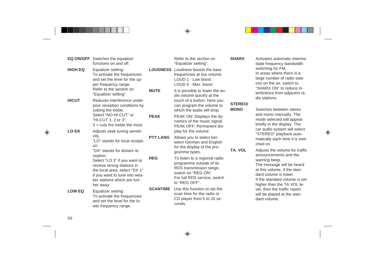|                | <b>EQ ON/OFF</b> Switches the equalizer<br>functions on and off.                                                                                                          |                 | Refer to the section on<br>"Equalizer setting".                                                                                                              | <b>SHARX</b>   | Activates automatic interme-<br>diate frequency bandwidth                                                                                                          |
|----------------|---------------------------------------------------------------------------------------------------------------------------------------------------------------------------|-----------------|--------------------------------------------------------------------------------------------------------------------------------------------------------------|----------------|--------------------------------------------------------------------------------------------------------------------------------------------------------------------|
| <b>HIGH EQ</b> | Equalizer setting:<br>To activate the frequencies<br>and set the level for the up-<br>per frequency range.                                                                |                 | <b>LOUDNESS</b> Loudness boosts the bass<br>frequencies at low volume.<br>LOUD 1 - Low boost<br>LOUD 6 - Max. boost                                          |                | switching for FM.<br>In areas where there is a<br>large number of radio stati-<br>ons on the air, switch to<br>"SHARX ON" to reduce in-                            |
| <b>HICUT</b>   | Refer to the section on<br>"Equalizer setting".<br>Reduces interference under                                                                                             | <b>MUTE</b>     | It is possible to lower the au-<br>dio volume quickly at the<br>touch of a button. Here you                                                                  | <b>STEREO/</b> | terference from adjacent ra-<br>dio stations.                                                                                                                      |
|                | poor reception conditions by<br>cutting the treble.                                                                                                                       |                 | can program the volume to<br>which the audio will drop.                                                                                                      | <b>MONO</b>    | Switches between stereo                                                                                                                                            |
|                | Select "NO HI-CUT" or<br>"HI-CUT 1, 2 or 3".<br>$3 = \text{cuts}$ the treble the most.                                                                                    | <b>PEAK</b>     | PEAK ON: Displays the dy-<br>namics of the music signal.<br>PEAK OFF: Permanent dis-                                                                         |                | and mono manually. The<br>mode selected will appear<br>briefly in the display. The                                                                                 |
| LO-DX          | Adjusts seek tuning sensiti-<br>vity.                                                                                                                                     |                 | play for the volume                                                                                                                                          |                | car audio system will select<br>"STEREO" playback auto-                                                                                                            |
|                | "LO" stands for local recepti-<br>on.                                                                                                                                     | <b>PTY LANG</b> | Allows you to select bet-<br>ween German and English<br>for the display of the pro-                                                                          |                | matically each time it is swit-<br>ched on.                                                                                                                        |
|                | "DX" stands for distant re-<br>ception.                                                                                                                                   |                 | gramme types.                                                                                                                                                | TA. VOL        | Adjusts the volume for traffic<br>announcements and the                                                                                                            |
|                | Select "LO 3" if you want to<br>receive strong stations in<br>the local area, select "DX 1"<br>if you want to tune into wea-<br>ker stations which are furt-<br>her away. | <b>REG</b>      | To listen to a regional radio<br>programme outside of its<br>RDS transmission range,<br>switch on "REG ON".<br>For full RDS service, switch<br>to "REG OFF". |                | warning beep.<br>The message will be heard<br>at this volume, if the stan-<br>dard volume is lower.<br>If the standard volume is set<br>higher than the TA VOL le- |
| <b>LOW EQ</b>  | Equalizer setting:<br>To activate the frequencies<br>and set the level for the lo-<br>wer frequency range.                                                                | <b>SCANTIME</b> | Use this function to set the<br>scan time for the radio or<br>CD player from 5 to 20 se-<br>conds.                                                           |                | vel, then the traffic report<br>will be played at the stan-<br>dard volume.                                                                                        |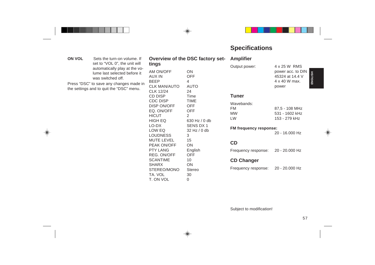|               |                                                                                                                                                                                                                                           |                                                                                                                                                                                    |                                                                                                                                   | <b>Specifications</b>                                                                              |                                                                                                                    |
|---------------|-------------------------------------------------------------------------------------------------------------------------------------------------------------------------------------------------------------------------------------------|------------------------------------------------------------------------------------------------------------------------------------------------------------------------------------|-----------------------------------------------------------------------------------------------------------------------------------|----------------------------------------------------------------------------------------------------|--------------------------------------------------------------------------------------------------------------------|
| <b>ON VOL</b> | Sets the turn-on volume. If<br>set to "VOL 0", the unit will<br>automatically play at the vo-<br>lume last selected before it<br>was switched off.<br>Press "DSC" to save any changes made in<br>the settings and to quit the "DSC" menu. | tings<br>AM ON/OFF<br><b>AUX IN</b><br><b>BEEP</b><br><b>CLK MAN/AUTO</b><br><b>CLK 12/24</b><br><b>CD DISP</b><br><b>CDC DISP</b><br>DISP ON/OFF                                  | Overview of the DSC factory set-<br><b>ON</b><br><b>OFF</b><br>4<br><b>AUTO</b><br>24<br>Time<br><b>TIME</b><br><b>OFF</b>        | <b>Amplifier</b><br>Output power:<br><b>Tuner</b><br>Wavebands:<br><b>FM</b>                       | 4 x 25 W RMS<br>power acc. to DIN<br><b>ENGLISH</b><br>45324 at 14.4 V<br>4 x 40 W max.<br>power<br>87,5 - 108 MHz |
|               |                                                                                                                                                                                                                                           | EQ. ON/OFF<br><b>HICUT</b><br><b>HIGH EQ</b><br>LO-DX<br>LOW EQ<br><b>LOUDNESS</b><br><b>MUTE LEVEL</b><br>PEAK ON/OFF<br><b>PTY LANG</b><br><b>REG. ON/OFF</b><br><b>SCANTIME</b> | <b>OFF</b><br>$\overline{2}$<br>630 Hz / 0 db<br>SENS DX 1<br>32 Hz / 0 db<br>3<br>15<br><b>ON</b><br>English<br><b>OFF</b><br>10 | <b>MW</b><br><b>LW</b><br>FM frequency response:<br>CD<br>Frequency response:<br><b>CD Changer</b> | 531 - 1602 kHz<br>153 - 279 kHz<br>20 - 16.000 Hz<br>20 - 20.000 Hz                                                |
|               |                                                                                                                                                                                                                                           | <b>SHARX</b><br>STEREO/MONO<br>TA. VOL<br>T. ON VOL                                                                                                                                | ON<br>Stereo<br>30<br>0                                                                                                           | Frequency response:<br>Subject to modification!                                                    | 20 - 20.000 Hz                                                                                                     |